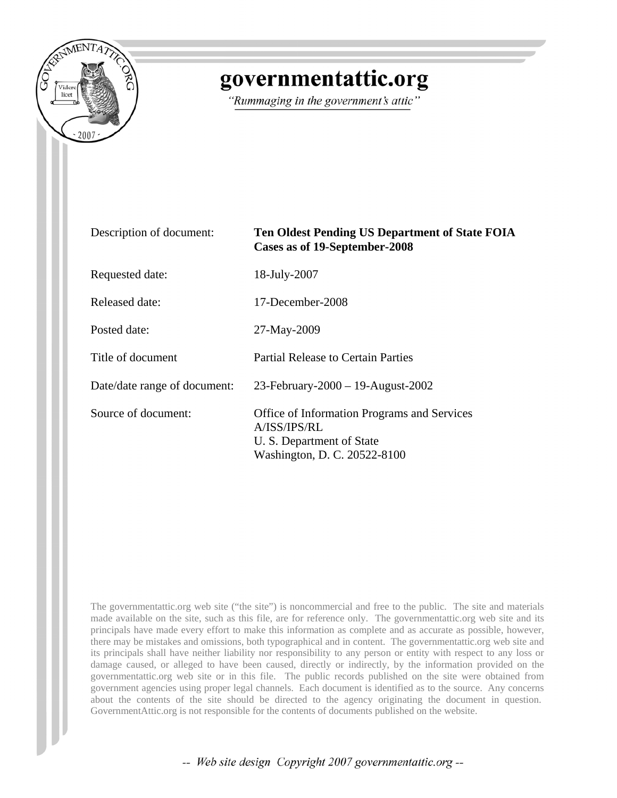

## governmentattic.org

"Rummaging in the government's attic"

| Description of document:     | <b>Ten Oldest Pending US Department of State FOIA</b><br>Cases as of 19-September-2008                                          |
|------------------------------|---------------------------------------------------------------------------------------------------------------------------------|
| Requested date:              | 18-July-2007                                                                                                                    |
| Released date:               | 17-December-2008                                                                                                                |
| Posted date:                 | 27-May-2009                                                                                                                     |
| Title of document            | <b>Partial Release to Certain Parties</b>                                                                                       |
| Date/date range of document: | 23-February-2000 - 19-August-2002                                                                                               |
| Source of document:          | <b>Office of Information Programs and Services</b><br>A/ISS/IPS/RL<br>U. S. Department of State<br>Washington, D. C. 20522-8100 |

The governmentattic.org web site ("the site") is noncommercial and free to the public. The site and materials made available on the site, such as this file, are for reference only. The governmentattic.org web site and its principals have made every effort to make this information as complete and as accurate as possible, however, there may be mistakes and omissions, both typographical and in content. The governmentattic.org web site and its principals shall have neither liability nor responsibility to any person or entity with respect to any loss or damage caused, or alleged to have been caused, directly or indirectly, by the information provided on the governmentattic.org web site or in this file. The public records published on the site were obtained from government agencies using proper legal channels. Each document is identified as to the source. Any concerns about the contents of the site should be directed to the agency originating the document in question. GovernmentAttic.org is not responsible for the contents of documents published on the website.

-- Web site design Copyright 2007 governmentattic.org --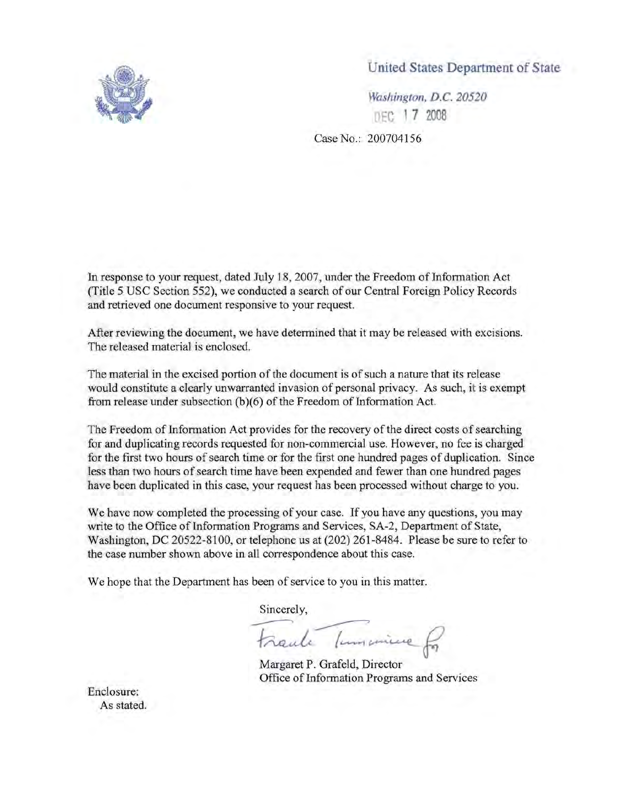

United States Department of State

*Washington, D.C. 20520*  DEC 17 2008

Case No.: 200704156

In response to your request, dated July 18, 2007, under the Freedom of Information Act (Title 5 USC Section 552), we conducted a search of our Centra] Foreign Policy Records and retrieved one document responsive to your request.

After reviewing the document, we have determined that it may be released with excisions. The released material is enclosed.

The material in the excised portion of the document is of such a nature that its release would constitute a clearly unwarranted invasion of personal privacy. As such, it is exempt from release under subsection (b)(6) of the Freedom of Information Act.

The Freedom of Information Act provides for the recovery of the direct costs of searching for and duplicating records requested for non-commercial use. However, no fee is charged for the first two hours of search time or for the first one hundred pages of duplication. Since less than two hours of search time have been expended and fewer than one hundred pages have been duplicated in this case, your request has been processed without charge to you.

We have now completed the processing of your case. If you have any questions, you may write to the Office of Information Programs and Services, SA-2, Department of State, Washington, DC 20522-8100, or telephone us at (202) 261-8484. Please be sure to refer to the case number shown above in all correspondence about this case.

We hope that the Department has been of service to you in this matter.

Sincerely,

been of service to you in this matter. Sincerely,<br>France Tumanieux for

Margaret P. Grafeld, Director Office of Information Programs and Services

Enclosure: As stated.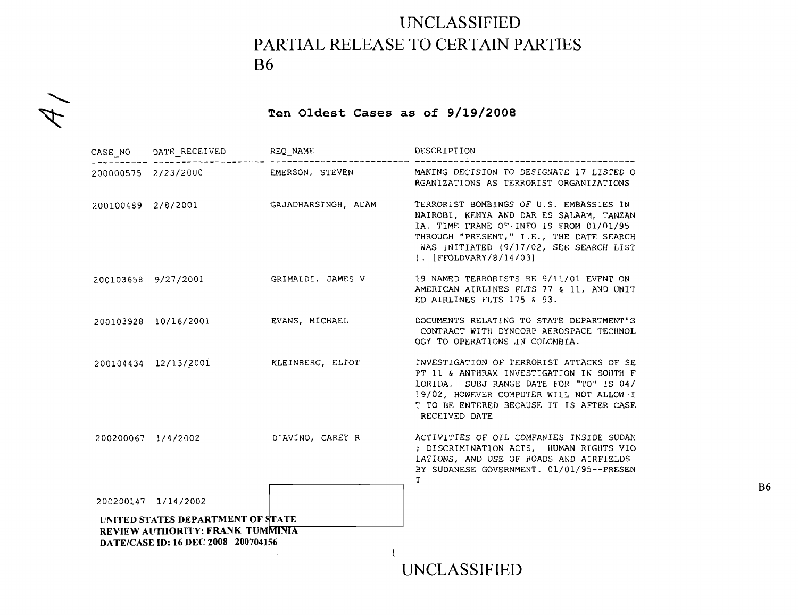## **UNCLASSIFIED PARTIAL RELEASE TO CERTAIN PARTIES B6**

## **Ten Oldest Cases as of 9/19/2008**

 $4/$ 

|                    | CASE_NO DATE_RECEIVED REQ_NAME                                                                               |                     | DESCRIPTION                                                                                                                                                                                                                                            |
|--------------------|--------------------------------------------------------------------------------------------------------------|---------------------|--------------------------------------------------------------------------------------------------------------------------------------------------------------------------------------------------------------------------------------------------------|
|                    | 200000575 2/23/2000                                                                                          | EMERSON, STEVEN     | MAKING DECISION TO DESIGNATE 17 LISTED O<br>RGANIZATIONS AS TERRORIST ORGANIZATIONS                                                                                                                                                                    |
| 200100489 2/8/2001 |                                                                                                              | GAJADHARSINGH, ADAM | TERRORIST BOMBINGS OF U.S. EMBASSIES IN<br>NAIROBI, KENYA AND DAR ES SALAAM, TANZAN<br>IA. TIME FRAME OF INFO IS FROM 01/01/95<br>THROUGH "PRESENT," I.E., THE DATE SEARCH<br>WAS INITIATED (9/17/02, SEE SEARCH LIST<br>$\vert$ . [FFOLDVARY/8/14/03] |
|                    | 200103658 9/27/2001                                                                                          | GRIMALDI, JAMES V   | 19 NAMED TERRORISTS RE 9/11/01 EVENT ON<br>AMERICAN AIRLINES FLTS 77 & 11, AND UNIT<br>ED AIRLINES FLTS 175 & 93.                                                                                                                                      |
|                    | 200103928 10/16/2001                                                                                         | EVANS, MICHAEL      | DOCUMENTS RELATING TO STATE DEPARTMENT'S<br>CONTRACT WITH DYNCORP AEROSPACE TECHNOL<br>OGY TO OPERATIONS IN COLOMBIA.                                                                                                                                  |
|                    | 200104434 12/13/2001                                                                                         | KLEINBERG, ELIOT    | INVESTIGATION OF TERRORIST ATTACKS OF SE<br>PT 11 & ANTHRAX INVESTIGATION IN SOUTH F<br>LORIDA. SUBJ RANGE DATE FOR "TO" IS 04/<br>19/02, HOWEVER COMPUTER WILL NOT ALLOW I<br>T TO BE ENTERED BECAUSE IT IS AFTER CASE<br>RECEIVED DATE               |
|                    | 200200067 1/4/2002                                                                                           | D'AVINO, CAREY R    | ACTIVITIES OF OIL COMPANIES INSIDE SUDAN<br>; DISCRIMINATION ACTS, HUMAN RIGHTS VIO<br>LATIONS, AND USE OF ROADS AND AIRFIELDS<br>BY SUDANESE GOVERNMENT. 01/01/95 -- PRESEN<br>T.                                                                     |
|                    | 200200147 1/14/2002                                                                                          |                     |                                                                                                                                                                                                                                                        |
|                    | UNITED STATES DEPARTMENT OF STATE<br>REVIEW AUTHORITY: FRANK TUMMINIA<br>DATE/CASE ID: 16 DEC 2008 200704156 |                     |                                                                                                                                                                                                                                                        |
|                    |                                                                                                              |                     | UNCLASSIFIED                                                                                                                                                                                                                                           |

**B6**